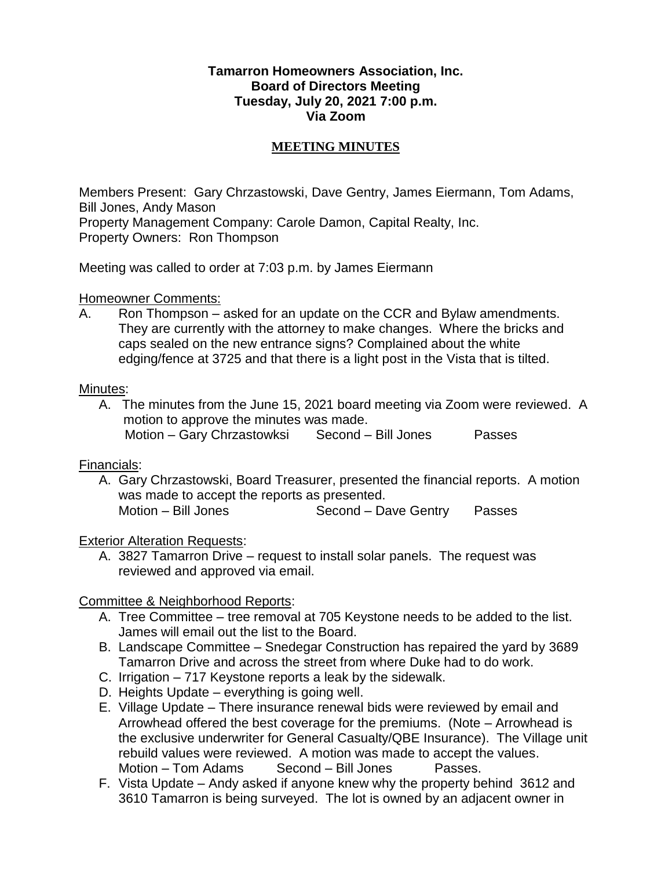#### **Tamarron Homeowners Association, Inc. Board of Directors Meeting Tuesday, July 20, 2021 7:00 p.m. Via Zoom**

## **MEETING MINUTES**

Members Present: Gary Chrzastowski, Dave Gentry, James Eiermann, Tom Adams, Bill Jones, Andy Mason Property Management Company: Carole Damon, Capital Realty, Inc. Property Owners: Ron Thompson

Meeting was called to order at 7:03 p.m. by James Eiermann

#### Homeowner Comments:

A. Ron Thompson – asked for an update on the CCR and Bylaw amendments. They are currently with the attorney to make changes. Where the bricks and caps sealed on the new entrance signs? Complained about the white edging/fence at 3725 and that there is a light post in the Vista that is tilted.

#### Minutes:

A. The minutes from the June 15, 2021 board meeting via Zoom were reviewed. A motion to approve the minutes was made.

Motion – Gary Chrzastowksi Second – Bill Jones Passes

## Financials:

A. Gary Chrzastowski, Board Treasurer, presented the financial reports. A motion was made to accept the reports as presented. Motion – Bill Jones Second – Dave Gentry Passes

## Exterior Alteration Requests:

A. 3827 Tamarron Drive – request to install solar panels. The request was reviewed and approved via email.

## Committee & Neighborhood Reports:

- A. Tree Committee tree removal at 705 Keystone needs to be added to the list. James will email out the list to the Board.
- B. Landscape Committee Snedegar Construction has repaired the yard by 3689 Tamarron Drive and across the street from where Duke had to do work.
- C. Irrigation 717 Keystone reports a leak by the sidewalk.
- D. Heights Update everything is going well.
- E. Village Update There insurance renewal bids were reviewed by email and Arrowhead offered the best coverage for the premiums. (Note – Arrowhead is the exclusive underwriter for General Casualty/QBE Insurance). The Village unit rebuild values were reviewed. A motion was made to accept the values. Motion – Tom Adams Second – Bill Jones Passes.
- F. Vista Update Andy asked if anyone knew why the property behind 3612 and 3610 Tamarron is being surveyed. The lot is owned by an adjacent owner in